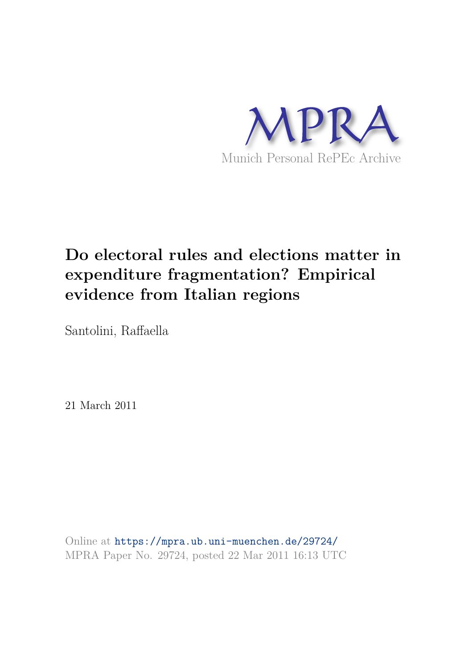

# **Do electoral rules and elections matter in expenditure fragmentation? Empirical evidence from Italian regions**

Santolini, Raffaella

21 March 2011

Online at https://mpra.ub.uni-muenchen.de/29724/ MPRA Paper No. 29724, posted 22 Mar 2011 16:13 UTC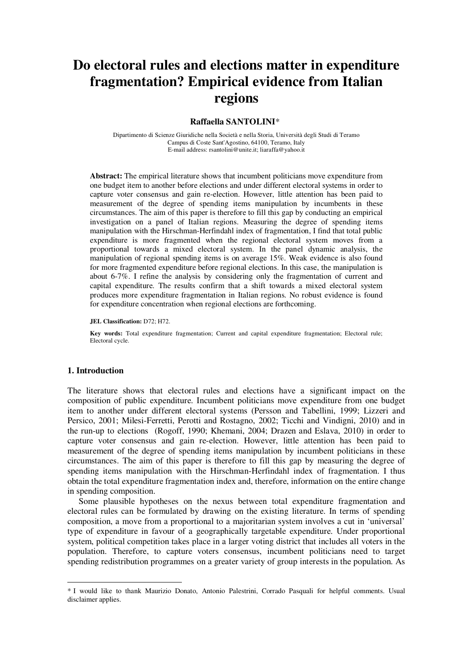## **Do electoral rules and elections matter in expenditure fragmentation? Empirical evidence from Italian regions**

### **Raffaella SANTOLINI**\* **1**

Dipartimento di Scienze Giuridiche nella Società e nella Storia, Università degli Studi di Teramo Campus di Coste Sant'Agostino, 64100, Teramo, Italy E-mail address: rsantolini@unite.it; liaraffa@yahoo.it

**Abstract:** The empirical literature shows that incumbent politicians move expenditure from one budget item to another before elections and under different electoral systems in order to capture voter consensus and gain re-election. However, little attention has been paid to measurement of the degree of spending items manipulation by incumbents in these circumstances. The aim of this paper is therefore to fill this gap by conducting an empirical investigation on a panel of Italian regions. Measuring the degree of spending items manipulation with the Hirschman-Herfindahl index of fragmentation, I find that total public expenditure is more fragmented when the regional electoral system moves from a proportional towards a mixed electoral system. In the panel dynamic analysis, the manipulation of regional spending items is on average 15%. Weak evidence is also found for more fragmented expenditure before regional elections. In this case, the manipulation is about 6-7%. I refine the analysis by considering only the fragmentation of current and capital expenditure. The results confirm that a shift towards a mixed electoral system produces more expenditure fragmentation in Italian regions. No robust evidence is found for expenditure concentration when regional elections are forthcoming.

**JEL Classification:** D72; H72.

**Key words:** Total expenditure fragmentation; Current and capital expenditure fragmentation; Electoral rule; Electoral cycle.

#### **1. Introduction**

The literature shows that electoral rules and elections have a significant impact on the composition of public expenditure. Incumbent politicians move expenditure from one budget item to another under different electoral systems (Persson and Tabellini, 1999; Lizzeri and Persico, 2001; Milesi-Ferretti, Perotti and Rostagno, 2002; Ticchi and Vindigni, 2010) and in the run-up to elections (Rogoff, 1990; Khemani, 2004; Drazen and Eslava, 2010) in order to capture voter consensus and gain re-election. However, little attention has been paid to measurement of the degree of spending items manipulation by incumbent politicians in these circumstances. The aim of this paper is therefore to fill this gap by measuring the degree of spending items manipulation with the Hirschman-Herfindahl index of fragmentation. I thus obtain the total expenditure fragmentation index and, therefore, information on the entire change in spending composition.

Some plausible hypotheses on the nexus between total expenditure fragmentation and electoral rules can be formulated by drawing on the existing literature. In terms of spending composition, a move from a proportional to a majoritarian system involves a cut in 'universal' type of expenditure in favour of a geographically targetable expenditure. Under proportional system, political competition takes place in a larger voting district that includes all voters in the population. Therefore, to capture voters consensus, incumbent politicians need to target spending redistribution programmes on a greater variety of group interests in the population. As

<sup>\*</sup> 1 I would like to thank Maurizio Donato, Antonio Palestrini, Corrado Pasquali for helpful comments. Usual disclaimer applies.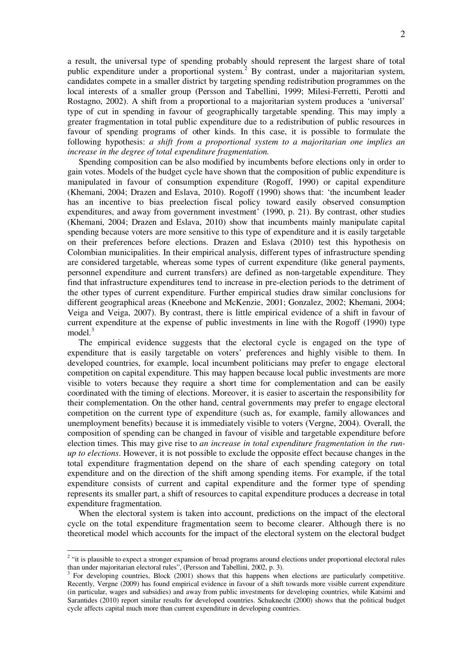a result, the universal type of spending probably should represent the largest share of total public expenditure under a proportional system.<sup>2</sup> By contrast, under a majoritarian system, candidates compete in a smaller district by targeting spending redistribution programmes on the local interests of a smaller group (Persson and Tabellini, 1999; Milesi-Ferretti, Perotti and Rostagno, 2002). A shift from a proportional to a majoritarian system produces a 'universal' type of cut in spending in favour of geographically targetable spending. This may imply a greater fragmentation in total public expenditure due to a redistribution of public resources in favour of spending programs of other kinds. In this case, it is possible to formulate the following hypothesis: *a shift from a proportional system to a majoritarian one implies an increase in the degree of total expenditure fragmentation.*

Spending composition can be also modified by incumbents before elections only in order to gain votes. Models of the budget cycle have shown that the composition of public expenditure is manipulated in favour of consumption expenditure (Rogoff, 1990) or capital expenditure (Khemani, 2004; Drazen and Eslava, 2010). Rogoff (1990) shows that: 'the incumbent leader has an incentive to bias preelection fiscal policy toward easily observed consumption expenditures, and away from government investment' (1990, p. 21). By contrast, other studies (Khemani, 2004; Drazen and Eslava, 2010) show that incumbents mainly manipulate capital spending because voters are more sensitive to this type of expenditure and it is easily targetable on their preferences before elections. Drazen and Eslava (2010) test this hypothesis on Colombian municipalities. In their empirical analysis, different types of infrastructure spending are considered targetable, whereas some types of current expenditure (like general payments, personnel expenditure and current transfers) are defined as non-targetable expenditure. They find that infrastructure expenditures tend to increase in pre-election periods to the detriment of the other types of current expenditure. Further empirical studies draw similar conclusions for different geographical areas (Kneebone and McKenzie, 2001; Gonzalez, 2002; Khemani, 2004; Veiga and Veiga, 2007). By contrast, there is little empirical evidence of a shift in favour of current expenditure at the expense of public investments in line with the Rogoff (1990) type model. $3$ 

The empirical evidence suggests that the electoral cycle is engaged on the type of expenditure that is easily targetable on voters' preferences and highly visible to them. In developed countries, for example, local incumbent politicians may prefer to engage electoral competition on capital expenditure. This may happen because local public investments are more visible to voters because they require a short time for complementation and can be easily coordinated with the timing of elections. Moreover, it is easier to ascertain the responsibility for their complementation. On the other hand, central governments may prefer to engage electoral competition on the current type of expenditure (such as, for example, family allowances and unemployment benefits) because it is immediately visible to voters (Vergne, 2004). Overall, the composition of spending can be changed in favour of visible and targetable expenditure before election times. This may give rise to *an increase in total expenditure fragmentation in the runup to elections*. However, it is not possible to exclude the opposite effect because changes in the total expenditure fragmentation depend on the share of each spending category on total expenditure and on the direction of the shift among spending items. For example, if the total expenditure consists of current and capital expenditure and the former type of spending represents its smaller part, a shift of resources to capital expenditure produces a decrease in total expenditure fragmentation.

When the electoral system is taken into account, predictions on the impact of the electoral cycle on the total expenditure fragmentation seem to become clearer. Although there is no theoretical model which accounts for the impact of the electoral system on the electoral budget

<sup>&</sup>lt;sup>2</sup> "it is plausible to expect a stronger expansion of broad programs around elections under proportional electoral rules than under majoritarian electoral rules", (Persson and Tabellini, 2002, p. 3). 3 For developing countries, Block (2001) shows that this happens when elections are particularly competitive.

Recently, Vergne (2009) has found empirical evidence in favour of a shift towards more visible current expenditure (in particular, wages and subsidies) and away from public investments for developing countries, while Katsimi and Sarantides (2010) report similar results for developed countries. Schuknecht (2000) shows that the political budget cycle affects capital much more than current expenditure in developing countries.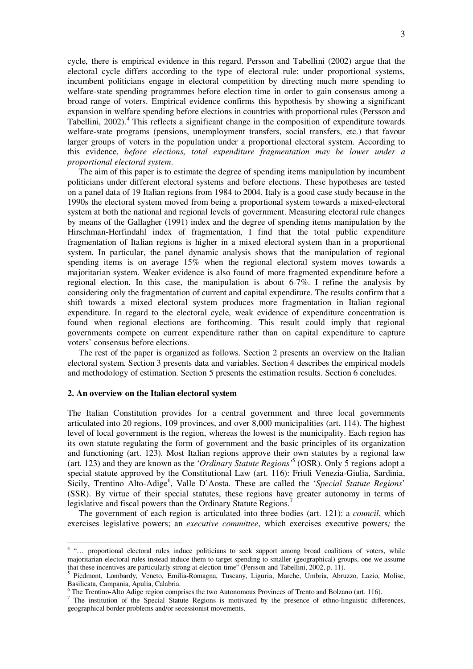cycle, there is empirical evidence in this regard. Persson and Tabellini (2002) argue that the electoral cycle differs according to the type of electoral rule: under proportional systems, incumbent politicians engage in electoral competition by directing much more spending to welfare-state spending programmes before election time in order to gain consensus among a broad range of voters. Empirical evidence confirms this hypothesis by showing a significant expansion in welfare spending before elections in countries with proportional rules (Persson and Tabellini, 2002).<sup>4</sup> This reflects a significant change in the composition of expenditure towards welfare-state programs (pensions, unemployment transfers, social transfers, etc.) that favour larger groups of voters in the population under a proportional electoral system. According to this evidence, *before elections, total expenditure fragmentation may be lower under a proportional electoral system*.

The aim of this paper is to estimate the degree of spending items manipulation by incumbent politicians under different electoral systems and before elections. These hypotheses are tested on a panel data of 19 Italian regions from 1984 to 2004. Italy is a good case study because in the 1990s the electoral system moved from being a proportional system towards a mixed-electoral system at both the national and regional levels of government. Measuring electoral rule changes by means of the Gallagher (1991) index and the degree of spending items manipulation by the Hirschman-Herfindahl index of fragmentation, I find that the total public expenditure fragmentation of Italian regions is higher in a mixed electoral system than in a proportional system. In particular, the panel dynamic analysis shows that the manipulation of regional spending items is on average 15% when the regional electoral system moves towards a majoritarian system. Weaker evidence is also found of more fragmented expenditure before a regional election. In this case, the manipulation is about 6-7%. I refine the analysis by considering only the fragmentation of current and capital expenditure. The results confirm that a shift towards a mixed electoral system produces more fragmentation in Italian regional expenditure. In regard to the electoral cycle, weak evidence of expenditure concentration is found when regional elections are forthcoming. This result could imply that regional governments compete on current expenditure rather than on capital expenditure to capture voters' consensus before elections.

The rest of the paper is organized as follows. Section 2 presents an overview on the Italian electoral system. Section 3 presents data and variables. Section 4 describes the empirical models and methodology of estimation. Section 5 presents the estimation results. Section 6 concludes.

#### **2. An overview on the Italian electoral system**

The Italian Constitution provides for a central government and three local governments articulated into 20 regions, 109 provinces, and over 8,000 municipalities (art. 114). The highest level of local government is the region, whereas the lowest is the municipality. Each region has its own statute regulating the form of government and the basic principles of its organization and functioning (art. 123). Most Italian regions approve their own statutes by a regional law (art. 123) and they are known as the '*Ordinary Statute Regions'*<sup>5</sup> (OSR). Only 5 regions adopt a special statute approved by the Constitutional Law (art. 116): Friuli Venezia-Giulia, Sardinia, Sicily, Trentino Alto-Adige<sup>6</sup>, Valle D'Aosta. These are called the 'Special Statute Regions' (SSR). By virtue of their special statutes, these regions have greater autonomy in terms of legislative and fiscal powers than the Ordinary Statute Regions.<sup>7</sup>

The government of each region is articulated into three bodies (art. 121): a *council*, which exercises legislative powers; an *executive committee*, which exercises executive powers*;* the

<sup>&</sup>lt;sup>4</sup> "... proportional electoral rules induce politicians to seek support among broad coalitions of voters, while majoritarian electoral rules instead induce them to target spending to smaller (geographical) groups, one we assume

that these incentives are particularly strong at election time" (Persson and Tabellini, 2002, p. 11).<br><sup>5</sup> Piedmont, Lombardy, Veneto, Emilia-Romagna, Tuscany, Liguria, Marche, Umbria, Abruzzo, Lazio, Molise, Basilicata, Campania, Apulia, Calabria.

<sup>&</sup>lt;sup>6</sup> The Trentino-Alto Adige region comprises the two Autonomous Provinces of Trento and Bolzano (art. 116).

<sup>&</sup>lt;sup>7</sup> The institution of the Special Statute Regions is motivated by the presence of ethno-linguistic differences, geographical border problems and/or secessionist movements.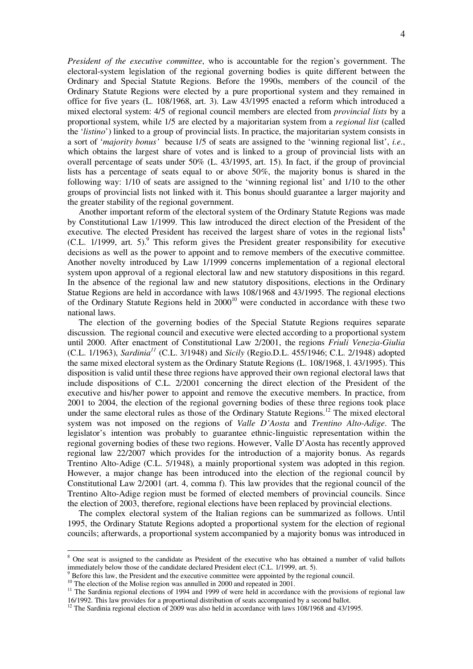*President of the executive committee*, who is accountable for the region's government. The electoral-system legislation of the regional governing bodies is quite different between the Ordinary and Special Statute Regions. Before the 1990s, members of the council of the Ordinary Statute Regions were elected by a pure proportional system and they remained in office for five years (L. 108/1968, art. 3). Law 43/1995 enacted a reform which introduced a mixed electoral system: 4/5 of regional council members are elected from *provincial lists* by a proportional system, while 1/5 are elected by a majoritarian system from a *regional list* (called the '*listino*') linked to a group of provincial lists. In practice, the majoritarian system consists in a sort of '*majority bonus'* because 1/5 of seats are assigned to the 'winning regional list', *i.e.*, which obtains the largest share of votes and is linked to a group of provincial lists with an overall percentage of seats under 50% (L. 43/1995, art. 15). In fact, if the group of provincial lists has a percentage of seats equal to or above 50%, the majority bonus is shared in the following way: 1/10 of seats are assigned to the 'winning regional list' and 1/10 to the other groups of provincial lists not linked with it. This bonus should guarantee a larger majority and the greater stability of the regional government.

Another important reform of the electoral system of the Ordinary Statute Regions was made by Constitutional Law 1/1999. This law introduced the direct election of the President of the executive. The elected President has received the largest share of votes in the regional lists<sup>8</sup> (C.L.  $1/1999$ , art. 5). This reform gives the President greater responsibility for executive decisions as well as the power to appoint and to remove members of the executive committee. Another novelty introduced by Law 1/1999 concerns implementation of a regional electoral system upon approval of a regional electoral law and new statutory dispositions in this regard. In the absence of the regional law and new statutory dispositions, elections in the Ordinary Statue Regions are held in accordance with laws 108/1968 and 43/1995. The regional elections of the Ordinary Statute Regions held in 2000<sup>10</sup> were conducted in accordance with these two national laws.

The election of the governing bodies of the Special Statute Regions requires separate discussion. The regional council and executive were elected according to a proportional system until 2000. After enactment of Constitutional Law 2/2001, the regions *Friuli Venezia-Giulia* (C.L. 1/1963), *Sardinia<sup>11</sup>* (C.L. 3/1948) and *Sicily* (Regio.D.L. 455/1946; C.L. 2/1948) adopted the same mixed electoral system as the Ordinary Statute Regions (L. 108/1968, l. 43/1995). This disposition is valid until these three regions have approved their own regional electoral laws that include dispositions of C.L. 2/2001 concerning the direct election of the President of the executive and his/her power to appoint and remove the executive members. In practice, from 2001 to 2004, the election of the regional governing bodies of these three regions took place under the same electoral rules as those of the Ordinary Statute Regions.<sup>12</sup> The mixed electoral system was not imposed on the regions of *Valle D'Aosta* and *Trentino Alto-Adige*. The legislator's intention was probably to guarantee ethnic-linguistic representation within the regional governing bodies of these two regions. However, Valle D'Aosta has recently approved regional law 22/2007 which provides for the introduction of a majority bonus. As regards Trentino Alto-Adige (C.L. 5/1948)*,* a mainly proportional system was adopted in this region. However, a major change has been introduced into the election of the regional council by Constitutional Law 2/2001 (art. 4, comma f). This law provides that the regional council of the Trentino Alto-Adige region must be formed of elected members of provincial councils. Since the election of 2003, therefore, regional elections have been replaced by provincial elections.

The complex electoral system of the Italian regions can be summarized as follows. Until 1995, the Ordinary Statute Regions adopted a proportional system for the election of regional councils; afterwards, a proportional system accompanied by a majority bonus was introduced in

<sup>&</sup>lt;sup>8</sup> One seat is assigned to the candidate as President of the executive who has obtained a number of valid ballots immediately below those of the candidate declared President elect (C.L.  $1/1999$ , art. 5).

Before this law, the President and the executive committee were appointed by the regional council.

<sup>&</sup>lt;sup>10</sup> The election of the Molise region was annulled in 2000 and repeated in 2001.

<sup>&</sup>lt;sup>11</sup> The Sardinia regional elections of 1994 and 1999 of were held in accordance with the provisions of regional law 16/1992. This law provides for a proportional distribution of seats accompanied by a second ballot.

<sup>&</sup>lt;sup>12</sup> The Sardinia regional election of 2009 was also held in accordance with laws 108/1968 and 43/1995.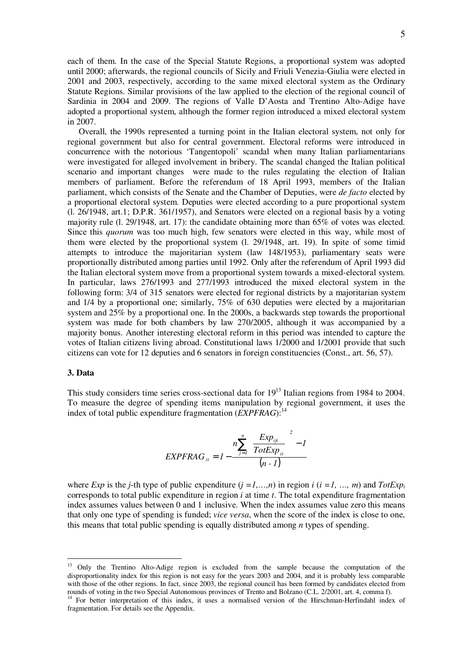each of them. In the case of the Special Statute Regions, a proportional system was adopted until 2000; afterwards, the regional councils of Sicily and Friuli Venezia-Giulia were elected in 2001 and 2003, respectively, according to the same mixed electoral system as the Ordinary Statute Regions. Similar provisions of the law applied to the election of the regional council of Sardinia in 2004 and 2009. The regions of Valle D'Aosta and Trentino Alto-Adige have adopted a proportional system, although the former region introduced a mixed electoral system in 2007.

Overall, the 1990s represented a turning point in the Italian electoral system, not only for regional government but also for central government. Electoral reforms were introduced in concurrence with the notorious 'Tangentopoli' scandal when many Italian parliamentarians were investigated for alleged involvement in bribery. The scandal changed the Italian political scenario and important changes were made to the rules regulating the election of Italian members of parliament. Before the referendum of 18 April 1993, members of the Italian parliament, which consists of the Senate and the Chamber of Deputies, were *de facto* elected by a proportional electoral system. Deputies were elected according to a pure proportional system (l. 26/1948, art.1; D.P.R. 361/1957), and Senators were elected on a regional basis by a voting majority rule (l. 29/1948, art. 17): the candidate obtaining more than 65% of votes was elected. Since this *quorum* was too much high, few senators were elected in this way, while most of them were elected by the proportional system (l. 29/1948, art. 19). In spite of some timid attempts to introduce the majoritarian system (law 148/1953), parliamentary seats were proportionally distributed among parties until 1992. Only after the referendum of April 1993 did the Italian electoral system move from a proportional system towards a mixed-electoral system. In particular, laws 276/1993 and 277/1993 introduced the mixed electoral system in the following form: 3/4 of 315 senators were elected for regional districts by a majoritarian system and 1/4 by a proportional one; similarly, 75% of 630 deputies were elected by a majoritarian system and 25% by a proportional one. In the 2000s, a backwards step towards the proportional system was made for both chambers by law 270/2005, although it was accompanied by a majority bonus. Another interesting electoral reform in this period was intended to capture the votes of Italian citizens living abroad. Constitutional laws 1/2000 and 1/2001 provide that such citizens can vote for 12 deputies and 6 senators in foreign constituencies (Const., art. 56, 57).

#### **3. Data**

This study considers time series cross-sectional data for  $19^{13}$  Italian regions from 1984 to 2004. To measure the degree of spending items manipulation by regional government, it uses the index of total public expenditure fragmentation (*EXPFRAG*):<sup>14</sup>

$$
EXPFRAG_{ii} = 1 - \frac{n \sum_{j=1}^{n} \left( \frac{Exp_{ijt}}{TotExp_{ii}} \right)^{2} - 1}{(n-1)}
$$

where *Exp* is the *j*-th type of public expenditure  $(j = 1, ..., n)$  in region  $i$   $(i = 1, ..., m)$  and  $TotExp_i$ corresponds to total public expenditure in region *i* at time *t*. The total expenditure fragmentation index assumes values between 0 and 1 inclusive. When the index assumes value zero this means that only one type of spending is funded; *vice versa*, when the score of the index is close to one, this means that total public spending is equally distributed among *n* types of spending.

<sup>&</sup>lt;sup>13</sup> Only the Trentino Alto-Adige region is excluded from the sample because the computation of the disproportionality index for this region is not easy for the years 2003 and 2004, and it is probably less comparable with those of the other regions. In fact, since 2003, the regional council has been formed by candidates elected from rounds of voting in the two Special Autonomous provinces of Trento and Bolzano (C.L. 2/2001, art. 4, comma f).

<sup>&</sup>lt;sup>14</sup> For better interpretation of this index, it uses a normalised version of the Hirschman-Herfindahl index of fragmentation. For details see the Appendix.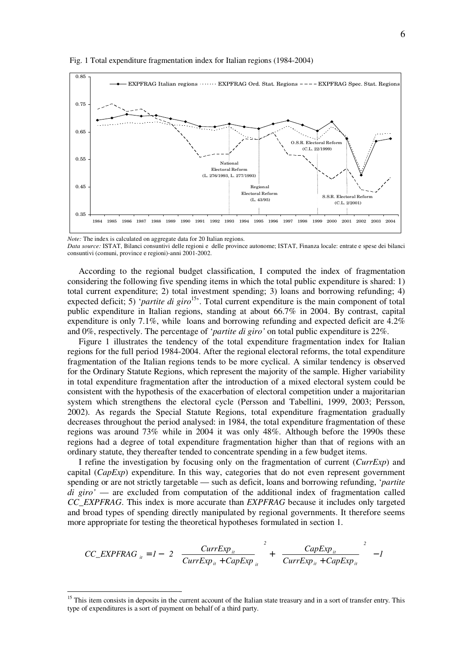

Fig. 1 Total expenditure fragmentation index for Italian regions (1984-2004)

*Note:* The index is calculated on aggregate data for 20 Italian regions.

*Data source:* ISTAT, Bilanci consuntivi delle regioni e delle province autonome; ISTAT, Finanza locale: entrate e spese dei bilanci consuntivi (comuni, province e regioni)-anni 2001-2002.

According to the regional budget classification, I computed the index of fragmentation considering the following five spending items in which the total public expenditure is shared: 1) total current expenditure; 2) total investment spending; 3) loans and borrowing refunding; 4) expected deficit; 5) '*partite di giro*<sup>15</sup>. Total current expenditure is the main component of total public expenditure in Italian regions, standing at about 66.7% in 2004. By contrast, capital expenditure is only 7.1%, while loans and borrowing refunding and expected deficit are 4.2% and 0%, respectively. The percentage of '*partite di giro'* on total public expenditure is 22%.

Figure 1 illustrates the tendency of the total expenditure fragmentation index for Italian regions for the full period 1984-2004. After the regional electoral reforms, the total expenditure fragmentation of the Italian regions tends to be more cyclical. A similar tendency is observed for the Ordinary Statute Regions, which represent the majority of the sample. Higher variability in total expenditure fragmentation after the introduction of a mixed electoral system could be consistent with the hypothesis of the exacerbation of electoral competition under a majoritarian system which strengthens the electoral cycle (Persson and Tabellini, 1999, 2003; Persson, 2002). As regards the Special Statute Regions, total expenditure fragmentation gradually decreases throughout the period analysed: in 1984, the total expenditure fragmentation of these regions was around 73% while in 2004 it was only 48%. Although before the 1990s these regions had a degree of total expenditure fragmentation higher than that of regions with an ordinary statute, they thereafter tended to concentrate spending in a few budget items.

I refine the investigation by focusing only on the fragmentation of current (*CurrExp*) and capital (*CapExp*) expenditure. In this way, categories that do not even represent government spending or are not strictly targetable — such as deficit, loans and borrowing refunding, '*partite di giro'* — are excluded from computation of the additional index of fragmentation called *CC\_EXPFRAG*. This index is more accurate than *EXPFRAG* because it includes only targeted and broad types of spending directly manipulated by regional governments. It therefore seems more appropriate for testing the theoretical hypotheses formulated in section 1.

$$
CC\_EXPFRAG_{ii} = I - \left\{ 2 \left[ \left( \frac{CurrExp_{ii}}{CurrExp_{ii} + CapExp_{ii}} \right)^2 + \left( \frac{CapExp_{ii}}{CurrExp_{ii} + CapExp_{ii}} \right)^2 \right] - I \right\}
$$

<sup>&</sup>lt;sup>15</sup> This item consists in deposits in the current account of the Italian state treasury and in a sort of transfer entry. This type of expenditures is a sort of payment on behalf of a third party.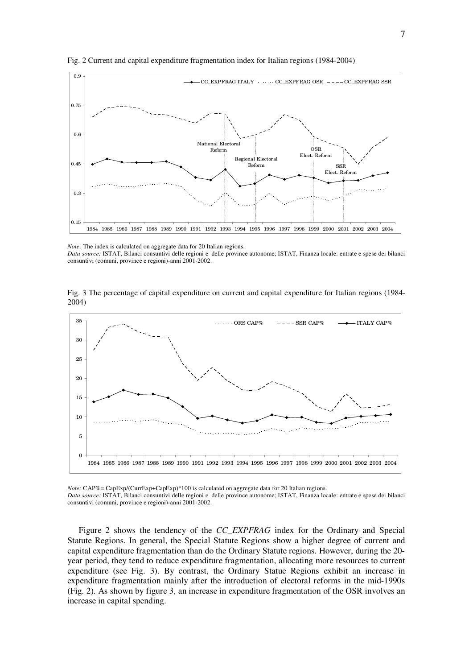

Fig. 2 Current and capital expenditure fragmentation index for Italian regions (1984-2004)

Fig. 3 The percentage of capital expenditure on current and capital expenditure for Italian regions (1984- 2004)



*Note:* CAP%= CapExp/(CurrExp+CapExp)\*100 is calculated on aggregate data for 20 Italian regions. *Data source:* ISTAT, Bilanci consuntivi delle regioni e delle province autonome; ISTAT, Finanza locale: entrate e spese dei bilanci consuntivi (comuni, province e regioni)-anni 2001-2002.

Figure 2 shows the tendency of the *CC\_EXPFRAG* index for the Ordinary and Special Statute Regions. In general, the Special Statute Regions show a higher degree of current and capital expenditure fragmentation than do the Ordinary Statute regions. However, during the 20 year period, they tend to reduce expenditure fragmentation, allocating more resources to current expenditure (see Fig. 3). By contrast, the Ordinary Statue Regions exhibit an increase in expenditure fragmentation mainly after the introduction of electoral reforms in the mid-1990s (Fig. 2). As shown by figure 3, an increase in expenditure fragmentation of the OSR involves an increase in capital spending.

*Note:* The index is calculated on aggregate data for 20 Italian regions. *Data source:* ISTAT, Bilanci consuntivi delle regioni e delle province autonome; ISTAT, Finanza locale: entrate e spese dei bilanci consuntivi (comuni, province e regioni)-anni 2001-2002.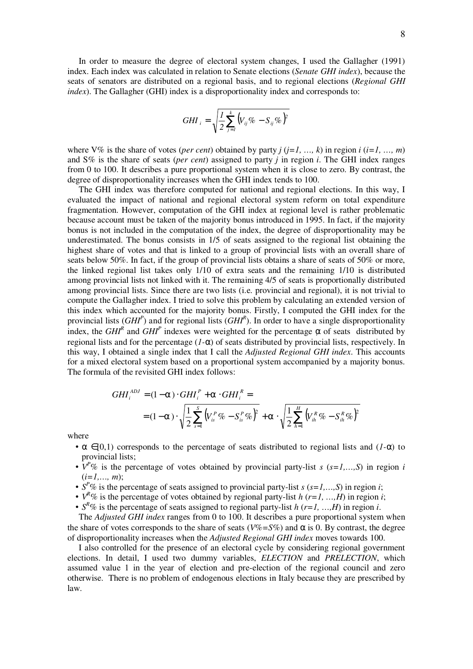In order to measure the degree of electoral system changes, I used the Gallagher (1991) index. Each index was calculated in relation to Senate elections (*Senate GHI index*), because the seats of senators are distributed on a regional basis, and to regional elections (*Regional GHI index*). The Gallagher (GHI) index is a disproportionality index and corresponds to:

$$
GHI_i = \sqrt{\frac{1}{2}\sum_{j=1}^k (V_{ij}\% - S_{ij}\%)^2}
$$

where V% is the share of votes (*per cent*) obtained by party  $j$  ( $j=1, ..., k$ ) in region  $i$  ( $i=1, ..., m$ ) and S% is the share of seats (*per cent*) assigned to party *j* in region *i*. The GHI index ranges from 0 to 100. It describes a pure proportional system when it is close to zero. By contrast, the degree of disproportionality increases when the GHI index tends to 100.

The GHI index was therefore computed for national and regional elections. In this way, I evaluated the impact of national and regional electoral system reform on total expenditure fragmentation. However, computation of the GHI index at regional level is rather problematic because account must be taken of the majority bonus introduced in 1995. In fact, if the majority bonus is not included in the computation of the index, the degree of disproportionality may be underestimated. The bonus consists in 1/5 of seats assigned to the regional list obtaining the highest share of votes and that is linked to a group of provincial lists with an overall share of seats below 50%. In fact, if the group of provincial lists obtains a share of seats of 50% or more, the linked regional list takes only 1/10 of extra seats and the remaining 1/10 is distributed among provincial lists not linked with it. The remaining 4/5 of seats is proportionally distributed among provincial lists. Since there are two lists (i.e. provincial and regional), it is not trivial to compute the Gallagher index. I tried to solve this problem by calculating an extended version of this index which accounted for the majority bonus. Firstly, I computed the GHI index for the provincial lists (*GHI<sup>P</sup>* ) and for regional lists (*GHI<sup>R</sup>* ). In order to have a single disproportionality index, the  $GHI<sup>R</sup>$  and  $GHI<sup>P</sup>$  indexes were weighted for the percentage  $\alpha$  of seats distributed by regional lists and for the percentage (*1-*α) of seats distributed by provincial lists, respectively. In this way, I obtained a single index that I call the *Adjusted Regional GHI index*. This accounts for a mixed electoral system based on a proportional system accompanied by a majority bonus. The formula of the revisited GHI index follows:

$$
GHI_i^{ADJ} = (1 - \alpha) \cdot GHI_i^P + \alpha \cdot GHI_i^R =
$$
  
=  $(1 - \alpha) \cdot \sqrt{\frac{1}{2} \sum_{s=1}^S (V_{is}^P \% - S_{is}^P \%)^2} + \alpha \cdot \sqrt{\frac{1}{2} \sum_{h=1}^H (V_{ih}^R \% - S_{ih}^R \%)^2}$ 

where

- $\alpha \in [0,1)$  corresponds to the percentage of seats distributed to regional lists and  $(1-\alpha)$  to provincial lists;
- $V^{P}$ % is the percentage of votes obtained by provincial party-list *s* ( $s=1,...,S$ ) in region *i*  $(i=1,..., m)$ ;
- $S^{P}\%$  is the percentage of seats assigned to provincial party-list *s* ( $s=1,...,S$ ) in region *i*;
- $V^R$ % is the percentage of votes obtained by regional party-list *h* (*r*=*1*, ...,*H*) in region *i*;
- $S^R$ % is the percentage of seats assigned to regional party-list *h* ( $r=1, ..., H$ ) in region *i*.

The *Adjusted GHI index* ranges from 0 to 100. It describes a pure proportional system when the share of votes corresponds to the share of seats ( $V\% = S\%$ ) and  $\alpha$  is 0. By contrast, the degree of disproportionality increases when the *Adjusted Regional GHI index* moves towards 100.

I also controlled for the presence of an electoral cycle by considering regional government elections. In detail, I used two dummy variables, *ELECTION* and *PRELECTION*, which assumed value 1 in the year of election and pre-election of the regional council and zero otherwise. There is no problem of endogenous elections in Italy because they are prescribed by law.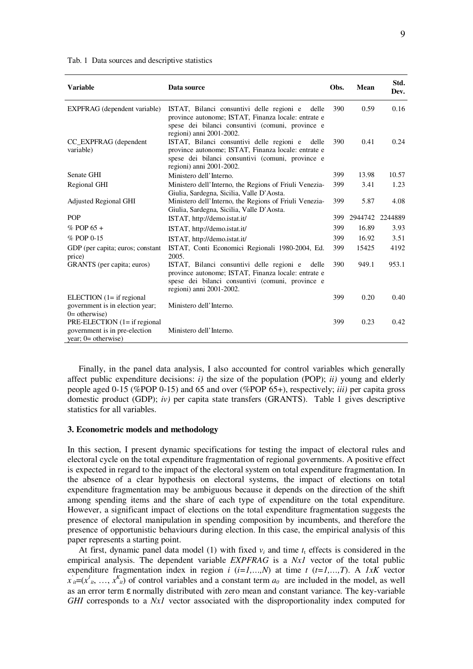|  | Tab. 1 Data sources and descriptive statistics |  |  |  |
|--|------------------------------------------------|--|--|--|
|--|------------------------------------------------|--|--|--|

| <b>Variable</b>                                        | Data source                                                                                                                                                                               | Obs. | Mean    | Std.<br>Dev. |
|--------------------------------------------------------|-------------------------------------------------------------------------------------------------------------------------------------------------------------------------------------------|------|---------|--------------|
| EXPFRAG (dependent variable)                           | ISTAT, Bilanci consuntivi delle regioni e<br>delle<br>province autonome; ISTAT, Finanza locale: entrate e<br>spese dei bilanci consuntivi (comuni, province e<br>regioni) anni 2001-2002. | 390  | 0.59    | 0.16         |
| CC EXPFRAG (dependent<br>variable)                     | ISTAT, Bilanci consuntivi delle regioni e<br>delle<br>province autonome; ISTAT, Finanza locale: entrate e<br>spese dei bilanci consuntivi (comuni, province e<br>regioni) anni 2001-2002. | 390  | 0.41    | 0.24         |
| Senate GHI                                             | Ministero dell'Interno.                                                                                                                                                                   | 399  | 13.98   | 10.57        |
| Regional GHI                                           | Ministero dell'Interno, the Regions of Friuli Venezia-<br>Giulia, Sardegna, Sicilia, Valle D'Aosta.                                                                                       | 399  | 3.41    | 1.23         |
| Adjusted Regional GHI                                  | Ministero dell'Interno, the Regions of Friuli Venezia-<br>Giulia, Sardegna, Sicilia, Valle D'Aosta.                                                                                       | 399  | 5.87    | 4.08         |
| <b>POP</b>                                             | ISTAT, http://demo.istat.it/                                                                                                                                                              | 399  | 2944742 | 2244889      |
| $%$ POP 65 +                                           | ISTAT, http://demo.istat.it/                                                                                                                                                              | 399  | 16.89   | 3.93         |
| $%$ POP 0-15                                           | ISTAT, http://demo.istat.it/                                                                                                                                                              | 399  | 16.92   | 3.51         |
| GDP (per capita; euros; constant<br>price)             | ISTAT, Conti Economici Regionali 1980-2004, Ed.<br>2005.                                                                                                                                  | 399  | 15425   | 4192         |
| GRANTS (per capita; euros)                             | ISTAT, Bilanci consuntivi delle regioni e<br>delle<br>province autonome; ISTAT, Finanza locale: entrate e<br>spese dei bilanci consuntivi (comuni, province e<br>regioni) anni 2001-2002. | 390  | 949.1   | 953.1        |
| ELECTION $(1 = if regional$                            |                                                                                                                                                                                           | 399  | 0.20    | 0.40         |
| government is in election year;<br>$0=$ otherwise)     | Ministero dell'Interno.                                                                                                                                                                   |      |         |              |
| PRE-ELECTION (1= if regional                           |                                                                                                                                                                                           | 399  | 0.23    | 0.42         |
| government is in pre-election<br>year; $0=$ otherwise) | Ministero dell'Interno.                                                                                                                                                                   |      |         |              |

Finally, in the panel data analysis, I also accounted for control variables which generally affect public expenditure decisions: *i*) the size of the population (POP); *ii*) young and elderly people aged 0-15 (%POP 0-15) and 65 and over (%POP 65+), respectively; *iii)* per capita gross domestic product (GDP); *iv)* per capita state transfers (GRANTS). Table 1 gives descriptive statistics for all variables.

#### **3. Econometric models and methodology**

In this section, I present dynamic specifications for testing the impact of electoral rules and electoral cycle on the total expenditure fragmentation of regional governments. A positive effect is expected in regard to the impact of the electoral system on total expenditure fragmentation. In the absence of a clear hypothesis on electoral systems, the impact of elections on total expenditure fragmentation may be ambiguous because it depends on the direction of the shift among spending items and the share of each type of expenditure on the total expenditure. However, a significant impact of elections on the total expenditure fragmentation suggests the presence of electoral manipulation in spending composition by incumbents, and therefore the presence of opportunistic behaviours during election. In this case, the empirical analysis of this paper represents a starting point.

At first, dynamic panel data model (1) with fixed  $v_i$  and time  $t<sub>t</sub>$  effects is considered in the empirical analysis. The dependent variable *EXPFRAG* is a *Nx1* vector of the total public expenditure fragmentation index in region  $i$  ( $i=1,...,N$ ) at time  $t$  ( $t=1,...,T$ ). A *1xK* vector  $x'_{ii}=(x^1_{ii}, \ldots, x^K_{ii})$  of control variables and a constant term  $a_0$  are included in the model, as well as an error term ε normally distributed with zero mean and constant variance. The key-variable *GHI* corresponds to a *Nx1* vector associated with the disproportionality index computed for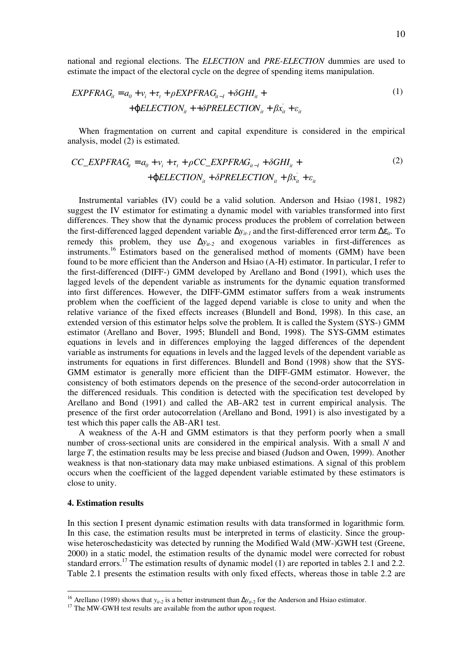national and regional elections. The *ELECTION* and *PRE-ELECTION* dummies are used to estimate the impact of the electoral cycle on the degree of spending items manipulation.

$$
EXPFRAG_{it} = a_0 + v_i + \tau_t + \rho EXPFRAG_{it-1} + \delta GHI_{it} +
$$
  
+ 
$$
\phi ELECTION_{it} + + \delta PRELECTION_{it} + \beta x_{it}^{'} + \varepsilon_{it}
$$
 (1)

When fragmentation on current and capital expenditure is considered in the empirical analysis, model (2) is estimated.

$$
CC\_EXPFRAG_{it} = a_0 + v_i + \tau_t + \rho CC\_EXPFRAG_{it-1} + \delta GHI_{it} +
$$
  
+
$$
\phi ELECTION_{it} + \delta PRELECTION_{it} + \beta x_{it} + \varepsilon_{it}
$$
\n(2)

Instrumental variables (IV) could be a valid solution. Anderson and Hsiao (1981, 1982) suggest the IV estimator for estimating a dynamic model with variables transformed into first differences. They show that the dynamic process produces the problem of correlation between the first-differenced lagged dependent variable ∆*yit-1* and the first-differenced error term ∆ε*it*. To remedy this problem, they use ∆*y*i*t-2* and exogenous variables in first-differences as instruments.<sup>16</sup> Estimators based on the generalised method of moments (GMM) have been found to be more efficient than the Anderson and Hsiao (A-H) estimator. In particular, I refer to the first-differenced (DIFF-) GMM developed by Arellano and Bond (1991), which uses the lagged levels of the dependent variable as instruments for the dynamic equation transformed into first differences. However, the DIFF-GMM estimator suffers from a weak instruments problem when the coefficient of the lagged depend variable is close to unity and when the relative variance of the fixed effects increases (Blundell and Bond, 1998). In this case, an extended version of this estimator helps solve the problem. It is called the System (SYS-) GMM estimator (Arellano and Bover, 1995; Blundell and Bond, 1998). The SYS-GMM estimates equations in levels and in differences employing the lagged differences of the dependent variable as instruments for equations in levels and the lagged levels of the dependent variable as instruments for equations in first differences. Blundell and Bond (1998) show that the SYS-GMM estimator is generally more efficient than the DIFF-GMM estimator. However, the consistency of both estimators depends on the presence of the second-order autocorrelation in the differenced residuals. This condition is detected with the specification test developed by Arellano and Bond (1991) and called the AB-AR2 test in current empirical analysis. The presence of the first order autocorrelation (Arellano and Bond, 1991) is also investigated by a test which this paper calls the AB-AR1 test.

A weakness of the A-H and GMM estimators is that they perform poorly when a small number of cross-sectional units are considered in the empirical analysis. With a small *N* and large *T*, the estimation results may be less precise and biased (Judson and Owen, 1999). Another weakness is that non-stationary data may make unbiased estimations. A signal of this problem occurs when the coefficient of the lagged dependent variable estimated by these estimators is close to unity.

#### **4. Estimation results**

In this section I present dynamic estimation results with data transformed in logarithmic form. In this case, the estimation results must be interpreted in terms of elasticity. Since the groupwise heteroschedasticity was detected by running the Modified Wald (MW-)GWH test (Greene, 2000) in a static model, the estimation results of the dynamic model were corrected for robust standard errors.<sup>17</sup> The estimation results of dynamic model (1) are reported in tables 2.1 and 2.2. Table 2.1 presents the estimation results with only fixed effects, whereas those in table 2.2 are

<sup>&</sup>lt;sup>16</sup> Arellano (1989) shows that *y<sub>it-2</sub>* is a better instrument than  $\Delta y$ <sub>*it-2*</sub> for the Anderson and Hsiao estimator.

<sup>&</sup>lt;sup>17</sup> The MW-GWH test results are available from the author upon request.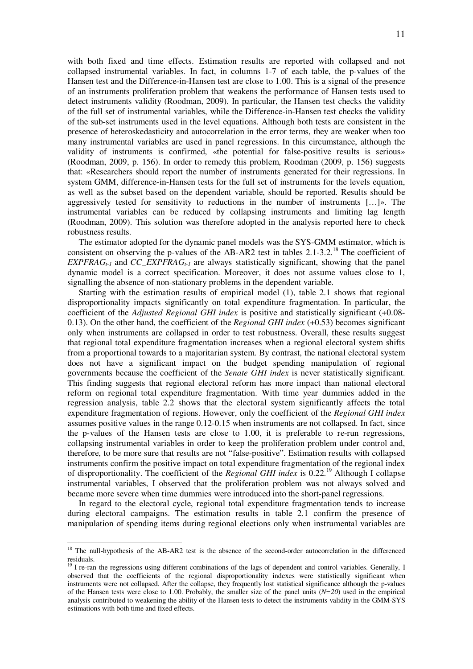with both fixed and time effects. Estimation results are reported with collapsed and not collapsed instrumental variables. In fact, in columns 1-7 of each table, the p-values of the Hansen test and the Difference-in-Hansen test are close to 1.00. This is a signal of the presence of an instruments proliferation problem that weakens the performance of Hansen tests used to detect instruments validity (Roodman, 2009). In particular, the Hansen test checks the validity of the full set of instrumental variables, while the Difference-in-Hansen test checks the validity of the sub-set instruments used in the level equations. Although both tests are consistent in the presence of heteroskedasticity and autocorrelation in the error terms, they are weaker when too many instrumental variables are used in panel regressions. In this circumstance, although the validity of instruments is confirmed, «the potential for false-positive results is serious» (Roodman, 2009, p. 156). In order to remedy this problem, Roodman (2009, p. 156) suggests that: «Researchers should report the number of instruments generated for their regressions. In system GMM, difference-in-Hansen tests for the full set of instruments for the levels equation, as well as the subset based on the dependent variable, should be reported. Results should be aggressively tested for sensitivity to reductions in the number of instruments […]». The instrumental variables can be reduced by collapsing instruments and limiting lag length (Roodman, 2009). This solution was therefore adopted in the analysis reported here to check robustness results.

The estimator adopted for the dynamic panel models was the SYS-GMM estimator, which is consistent on observing the p-values of the AB-AR2 test in tables 2.1-3.2<sup>18</sup> The coefficient of *EXPFRAG*<sub>t-1</sub> and *CC\_EXPFRAG*<sub>t-1</sub> are always statistically significant, showing that the panel dynamic model is a correct specification. Moreover, it does not assume values close to 1, signalling the absence of non-stationary problems in the dependent variable.

Starting with the estimation results of empirical model (1), table 2.1 shows that regional disproportionality impacts significantly on total expenditure fragmentation. In particular, the coefficient of the *Adjusted Regional GHI index* is positive and statistically significant (+0.08- 0.13). On the other hand, the coefficient of the *Regional GHI index* (+0.53) becomes significant only when instruments are collapsed in order to test robustness. Overall, these results suggest that regional total expenditure fragmentation increases when a regional electoral system shifts from a proportional towards to a majoritarian system. By contrast, the national electoral system does not have a significant impact on the budget spending manipulation of regional governments because the coefficient of the *Senate GHI index* is never statistically significant. This finding suggests that regional electoral reform has more impact than national electoral reform on regional total expenditure fragmentation. With time year dummies added in the regression analysis, table 2.2 shows that the electoral system significantly affects the total expenditure fragmentation of regions. However, only the coefficient of the *Regional GHI index* assumes positive values in the range 0.12-0.15 when instruments are not collapsed. In fact, since the p-values of the Hansen tests are close to 1.00, it is preferable to re-run regressions, collapsing instrumental variables in order to keep the proliferation problem under control and, therefore, to be more sure that results are not "false-positive". Estimation results with collapsed instruments confirm the positive impact on total expenditure fragmentation of the regional index of disproportionality. The coefficient of the *Regional GHI index* is 0.22*.* <sup>19</sup> Although I collapse instrumental variables, I observed that the proliferation problem was not always solved and became more severe when time dummies were introduced into the short-panel regressions.

In regard to the electoral cycle, regional total expenditure fragmentation tends to increase during electoral campaigns. The estimation results in table 2.1 confirm the presence of manipulation of spending items during regional elections only when instrumental variables are

<sup>&</sup>lt;sup>18</sup> The null-hypothesis of the AB-AR2 test is the absence of the second-order autocorrelation in the differenced residuals.

<sup>&</sup>lt;sup>19</sup> I re-ran the regressions using different combinations of the lags of dependent and control variables. Generally, 1 observed that the coefficients of the regional disproportionality indexes were statistically significant when instruments were not collapsed. After the collapse, they frequently lost statistical significance although the p-values of the Hansen tests were close to 1.00. Probably, the smaller size of the panel units (*N=20*) used in the empirical analysis contributed to weakening the ability of the Hansen tests to detect the instruments validity in the GMM-SYS estimations with both time and fixed effects.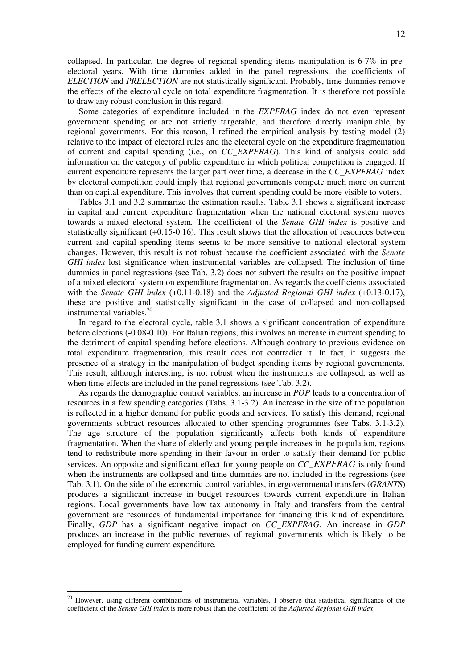collapsed. In particular, the degree of regional spending items manipulation is 6-7% in preelectoral years. With time dummies added in the panel regressions, the coefficients of *ELECTION* and *PRELECTION* are not statistically significant. Probably, time dummies remove the effects of the electoral cycle on total expenditure fragmentation. It is therefore not possible to draw any robust conclusion in this regard.

Some categories of expenditure included in the *EXPFRAG* index do not even represent government spending or are not strictly targetable, and therefore directly manipulable, by regional governments. For this reason, I refined the empirical analysis by testing model (2) relative to the impact of electoral rules and the electoral cycle on the expenditure fragmentation of current and capital spending (i.e., on *CC\_EXPFRAG*). This kind of analysis could add information on the category of public expenditure in which political competition is engaged. If current expenditure represents the larger part over time, a decrease in the *CC\_EXPFRAG* index by electoral competition could imply that regional governments compete much more on current than on capital expenditure. This involves that current spending could be more visible to voters.

Tables 3.1 and 3.2 summarize the estimation results. Table 3.1 shows a significant increase in capital and current expenditure fragmentation when the national electoral system moves towards a mixed electoral system. The coefficient of the *Senate GHI index* is positive and statistically significant (+0.15-0.16). This result shows that the allocation of resources between current and capital spending items seems to be more sensitive to national electoral system changes. However, this result is not robust because the coefficient associated with the *Senate GHI index* lost significance when instrumental variables are collapsed. The inclusion of time dummies in panel regressions (see Tab. 3.2) does not subvert the results on the positive impact of a mixed electoral system on expenditure fragmentation. As regards the coefficients associated with the *Senate GHI index* (+0.11-0.18) and the *Adjusted Regional GHI index* (+0.13-0.17), these are positive and statistically significant in the case of collapsed and non-collapsed instrumental variables.<sup>20</sup>

In regard to the electoral cycle, table 3.1 shows a significant concentration of expenditure before elections (-0.08-0.10). For Italian regions, this involves an increase in current spending to the detriment of capital spending before elections. Although contrary to previous evidence on total expenditure fragmentation*,* this result does not contradict it. In fact, it suggests the presence of a strategy in the manipulation of budget spending items by regional governments. This result, although interesting, is not robust when the instruments are collapsed, as well as when time effects are included in the panel regressions (see Tab. 3.2).

As regards the demographic control variables, an increase in *POP* leads to a concentration of resources in a few spending categories (Tabs. 3.1-3.2). An increase in the size of the population is reflected in a higher demand for public goods and services. To satisfy this demand, regional governments subtract resources allocated to other spending programmes (see Tabs. 3.1-3.2). The age structure of the population significantly affects both kinds of expenditure fragmentation. When the share of elderly and young people increases in the population, regions tend to redistribute more spending in their favour in order to satisfy their demand for public services. An opposite and significant effect for young people on *CC\_EXPFRAG* is only found when the instruments are collapsed and time dummies are not included in the regressions (see Tab. 3.1). On the side of the economic control variables, intergovernmental transfers (*GRANTS*) produces a significant increase in budget resources towards current expenditure in Italian regions. Local governments have low tax autonomy in Italy and transfers from the central government are resources of fundamental importance for financing this kind of expenditure. Finally, *GDP* has a significant negative impact on *CC\_EXPFRAG*. An increase in *GDP* produces an increase in the public revenues of regional governments which is likely to be employed for funding current expenditure.

<sup>&</sup>lt;sup>20</sup> However, using different combinations of instrumental variables, I observe that statistical significance of the coefficient of the *Senate GHI index* is more robust than the coefficient of the *Adjusted Regional GHI index*.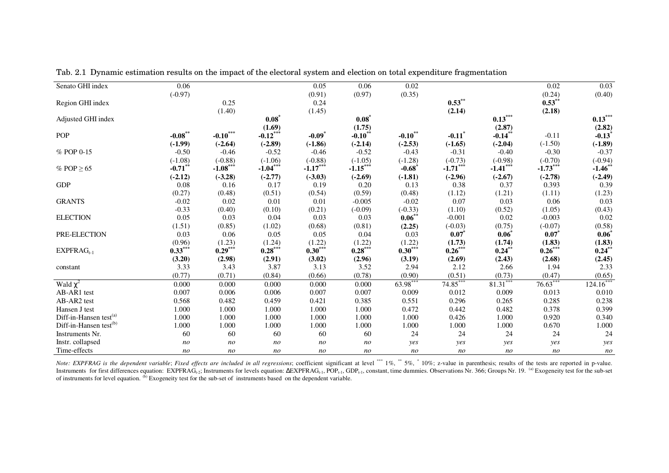| Senato GHI index                   | 0.06           |                |                | 0.05                 | 0.06                  | 0.02           |                      |                | 0.02           | 0.03                 |
|------------------------------------|----------------|----------------|----------------|----------------------|-----------------------|----------------|----------------------|----------------|----------------|----------------------|
|                                    | $(-0.97)$      |                |                | (0.91)               | (0.97)                | (0.35)         |                      |                | (0.24)         | (0.40)               |
| Region GHI index                   |                | 0.25           |                | 0.24                 |                       |                | $0.53***$            |                | $0.53$ **      |                      |
|                                    |                | (1.40)         |                | (1.45)               |                       |                | (2.14)               |                | (2.18)         |                      |
| Adjusted GHI index                 |                |                | $0.08*$        |                      | $0.08*$               |                |                      | $0.13***$      |                | $0.13***$            |
|                                    |                |                | (1.69)         |                      | (1.75)                |                |                      | (2.87)         |                | (2.82)               |
| POP                                | $-0.08***$     | $-0.10***$     | $-0.12***$     | $-0.09$ <sup>*</sup> | $-0.10$ <sup>**</sup> | $-0.10$ **     | $-0.11$ <sup>*</sup> | $-0.14**$      | $-0.11$        | $-0.13$ <sup>*</sup> |
|                                    | $(-1.99)$      | $(-2.64)$      | $(-2.89)$      | $(-1.86)$            | $(-2.14)$             | $(-2.53)$      | $(-1.65)$            | $(-2.04)$      | $(-1.50)$      | $(-1.89)$            |
| % POP 0-15                         | $-0.50$        | $-0.46$        | $-0.52$        | $-0.46$              | $-0.52$               | $-0.43$        | $-0.31$              | $-0.40$        | $-0.30$        | $-0.37$              |
|                                    | $(-1.08)$      | $(-0.88)$      | $(-1.06)$      | $(-0.88)$            | $(-1.05)$             | $(-1.28)$      | $(-0.73)$            | $(-0.98)$      | $(-0.70)$      | $(-0.94)$            |
| % POP $\geq 65$                    | $-0.71$ **     | $-1.08***$     | $-1.04***$     | $-1.17***$           | $-1.15***$            | $-0.68$        | $-1.71***$           | $-1.41***$     | $-1.73***$     | $-1.46$ **           |
|                                    | $(-2.12)$      | $(-3.28)$      | $(-2.77)$      | $(-3.03)$            | $(-2.69)$             | $(-1.81)$      | $(-2.96)$            | $(-2.67)$      | $(-2.78)$      | $(-2.49)$            |
| <b>GDP</b>                         | 0.08           | 0.16           | 0.17           | 0.19                 | 0.20                  | 0.13           | 0.38                 | 0.37           | 0.393          | 0.39                 |
|                                    | (0.27)         | (0.48)         | (0.51)         | (0.54)               | (0.59)                | (0.48)         | (1.12)               | (1.21)         | (1.11)         | (1.23)               |
| <b>GRANTS</b>                      | $-0.02$        | 0.02           | 0.01           | 0.01                 | $-0.005$              | $-0.02$        | 0.07                 | 0.03           | 0.06           | 0.03                 |
|                                    | $-0.33$        | (0.40)         | (0.10)         | (0.21)               | $(-0.09)$             | $(-0.33)$      | (1.10)               | (0.52)         | (1.05)         | (0.43)               |
| <b>ELECTION</b>                    | 0.05           | 0.03           | 0.04           | 0.03                 | 0.03                  | $0.06^{**}$    | $-0.001$             | 0.02           | $-0.003$       | 0.02                 |
|                                    | (1.51)         | (0.85)         | (1.02)         | (0.68)               | (0.81)                | (2.25)         | $(-0.03)$            | (0.75)         | $(-0.07)$      | (0.58)               |
| PRE-ELECTION                       | 0.03           | 0.06           | 0.05           | 0.05                 | 0.04                  | 0.03           | $0.07^{*}$           | 0.06           | $0.07^{*}$     | $0.06*$              |
|                                    | (0.96)         | (1.23)         | (1.24)         | $(1.22)$<br>0.30***  | $(1.22)$<br>0.28***   | (1.22)         | (1.73)               | (1.74)         | (1.83)         | (1.83)               |
| $EXPFRAG_{t-1}$                    | $0.33***$      | $0.29***$      | $0.28***$      |                      |                       | $0.30***$      | $0.26***$            | $0.24^{**}$    | $0.26***$      | $0.24$ **            |
|                                    | (3.20)         | (2.98)         | (2.91)         | (3.02)               | (2.96)                | (3.19)         | (2.69)               | (2.43)         | (2.68)         | (2.45)               |
| constant                           | 3.33           | 3.43           | 3.87           | 3.13                 | 3.52                  | 2.94           | 2.12                 | 2.66           | 1.94           | 2.33                 |
|                                    | (0.77)         | (0.71)         | (0.84)         | (0.66)               | (0.78)                | (0.90)         | (0.51)               | (0.73)         | (0.47)         | (0.65)               |
| Wald $\chi^2$                      | 0.000          | 0.000          | 0.000          | 0.000                | 0.000                 | 63.98***       | 74.85***             | $81.31***$     | $76.63***$     | $124.16***$          |
| AB-AR1 test                        | 0.007          | 0.006          | 0.006          | 0.007                | 0.007                 | 0.009          | 0.012                | 0.009          | 0.013          | 0.010                |
| AB-AR2 test                        | 0.568          | 0.482          | 0.459          | 0.421                | 0.385                 | 0.551          | 0.296                | 0.265          | 0.285          | 0.238                |
| Hansen J test                      | 1.000          | 1.000          | 1.000          | 1.000                | 1.000                 | 0.472          | 0.442                | 0.482          | 0.378          | 0.399                |
| Diff-in-Hansen test <sup>(a)</sup> | 1.000          | 1.000          | 1.000          | 1.000                | 1.000                 | 1.000          | 0.426                | 1.000          | 0.920          | 0.340                |
| Diff-in-Hansen test <sup>(b)</sup> | 1.000          | 1.000          | 1.000          | 1.000                | 1.000                 | 1.000          | 1.000                | 1.000          | 0.670          | 1.000                |
| Instruments Nr.                    | 60             | 60             | 60             | 60                   | 60                    | 24             | 24                   | 24             | 24             | 24                   |
| Instr. collapsed                   | n <sub>O</sub> | n <sub>O</sub> | n <sub>O</sub> | n <sub>o</sub>       | n <sub>O</sub>        | yes            | yes                  | yes            | yes            | yes                  |
| Time-effects                       | n <sub>O</sub> | n <sub>O</sub> | n <sub>O</sub> | n <sub>O</sub>       | n <sub>O</sub>        | n <sub>O</sub> | n <sub>O</sub>       | n <sub>O</sub> | n <sub>O</sub> | n <sub>o</sub>       |

Tab. 2.1 Dynamic estimation results on the impact of the electoral system and election on total expenditure fragmentation

Note: EXPFRAG is the dependent variable; Fixed effects are included in all regressions; coefficient significant at level \*\*\* 1%, \*\* 5%, \*10%; z-value in parenthesis; results of the tests are reported in p-value. Instruments for first differences equation: EXPFRAG<sub>t-2</sub>; Instruments for levels equation:  $\Delta$ EXPFRAG<sub>t-1</sub>, POP<sub>t-1</sub>, GDP<sub>t-1</sub>, constant, time dummies. Observations Nr. 366; Groups Nr. 19. <sup>(a)</sup> Exogeneity test for the su of instruments for level equation. (b) Exogeneity test for the sub-set of instruments based on the dependent variable.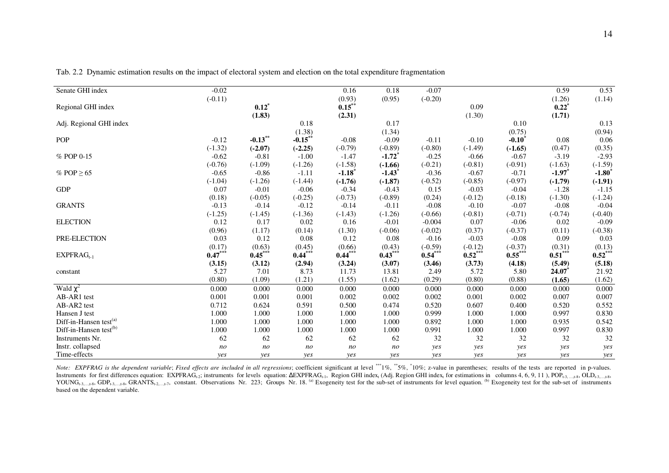| Senate GHI index                   | $-0.02$   |           |            | 0.16                 | 0.18                 | $-0.07$   |           |                   | 0.59      | 0.53                |
|------------------------------------|-----------|-----------|------------|----------------------|----------------------|-----------|-----------|-------------------|-----------|---------------------|
|                                    | $(-0.11)$ |           |            | (0.93)               | (0.95)               | $(-0.20)$ |           |                   | (1.26)    | (1.14)              |
| Regional GHI index                 |           | $0.12^*$  |            | $0.15$ <sup>**</sup> |                      |           | 0.09      |                   | $0.22^*$  |                     |
|                                    |           | (1.83)    |            | (2.31)               |                      |           | (1.30)    |                   | (1.71)    |                     |
| Adj. Regional GHI index            |           |           | 0.18       |                      | 0.17                 |           |           | 0.10              |           | 0.13                |
|                                    |           |           | (1.38)     |                      | (1.34)               |           |           | (0.75)            |           | (0.94)              |
| POP                                | $-0.12$   | $-0.13**$ | $-0.15$ ** | $-0.08$              | $-0.09$              | $-0.11$   | $-0.10$   | $-0.10^{\degree}$ | 0.08      | 0.06                |
|                                    | $(-1.32)$ | $(-2.07)$ | $(-2.25)$  | $(-0.79)$            | $(-0.89)$            | $(-0.80)$ | $(-1.49)$ | $(-1.65)$         | (0.47)    | (0.35)              |
| % POP 0-15                         | $-0.62$   | $-0.81$   | $-1.00$    | $-1.47$              | $-1.72$ <sup>*</sup> | $-0.25$   | $-0.66$   | $-0.67$           | $-3.19$   | $-2.93$             |
|                                    | $(-0.76)$ | $(-1.09)$ | $(-1.26)$  | $(-1.58)$            | $(-1.66)$            | $(-0.21)$ | $(-0.81)$ | $(-0.91)$         | $(-1.63)$ | $(-1.59)$           |
| % POP $\geq 65$                    | $-0.65$   | $-0.86$   | $-1.11$    | $-1.18$ <sup>*</sup> | $-1.43$              | $-0.36$   | $-0.67$   | $-0.71$           | $-1.97$   | $-1.80$             |
|                                    | $(-1.04)$ | $(-1.26)$ | $(-1.44)$  | $(-1.76)$            | $(-1.87)$            | $(-0.52)$ | $(-0.85)$ | $(-0.97)$         | $(-1.79)$ | $(-1.91)$           |
| <b>GDP</b>                         | 0.07      | $-0.01$   | $-0.06$    | $-0.34$              | $-0.43$              | 0.15      | $-0.03$   | $-0.04$           | $-1.28$   | $-1.15$             |
|                                    | (0.18)    | $(-0.05)$ | $(-0.25)$  | $(-0.73)$            | $(-0.89)$            | (0.24)    | $(-0.12)$ | $(-0.18)$         | $(-1.30)$ | $(-1.24)$           |
| <b>GRANTS</b>                      | $-0.13$   | $-0.14$   | $-0.12$    | $-0.14$              | $-0.11$              | $-0.08$   | $-0.10$   | $-0.07$           | $-0.08$   | $-0.04$             |
|                                    | $(-1.25)$ | $(-1.45)$ | $(-1.36)$  | $(-1.43)$            | $(-1.26)$            | $(-0.66)$ | $(-0.81)$ | $(-0.71)$         | $(-0.74)$ | $(-0.40)$           |
| <b>ELECTION</b>                    | 0.12      | 0.17      | 0.02       | 0.16                 | $-0.01$              | $-0.004$  | 0.07      | $-0.06$           | 0.02      | $-0.09$             |
|                                    | (0.96)    | (1.17)    | (0.14)     | (1.30)               | $(-0.06)$            | $(-0.02)$ | (0.37)    | $(-0.37)$         | (0.11)    | $(-0.38)$           |
| PRE-ELECTION                       | 0.03      | 0.12      | 0.08       | 0.12                 | 0.08                 | $-0.16$   | $-0.03$   | $-0.08$           | 0.09      | 0.03                |
|                                    | (0.17)    | (0.63)    | (0.45)     | (0.66)               | (0.43)               | $(-0.59)$ | $(-0.12)$ | $(-0.37)$         | (0.31)    | $(0.13)$<br>0.52*** |
| $EXPFRAG_{t-1}$                    | $0.47***$ | $0.45***$ | $0.44***$  | $0.44***$            | $0.43***$            | $0.54***$ | $0.52***$ | $0.55***$         | $0.51***$ |                     |
|                                    | (3.15)    | (3.12)    | (2.94)     | (3.24)               | (3.07)               | (3.46)    | (3.73)    | (4.18)            | (5.49)    | (5.18)              |
| constant                           | 5.27      | 7.01      | 8.73       | 11.73                | 13.81                | 2.49      | 5.72      | 5.80              | 24.07     | 21.92               |
|                                    | (0.80)    | (1.09)    | (1.21)     | (1.55)               | (1.62)               | (0.29)    | (0.80)    | (0.88)            | (1.65)    | (1.62)              |
| Wald $\chi^2$                      | 0.000     | 0.000     | 0.000      | 0.000                | 0.000                | 0.000     | 0.000     | 0.000             | 0.000     | 0.000               |
| AB-AR1 test                        | 0.001     | 0.001     | 0.001      | 0.002                | 0.002                | 0.002     | 0.001     | 0.002             | 0.007     | 0.007               |
| AB-AR2 test                        | 0.712     | 0.624     | 0.591      | 0.500                | 0.474                | 0.520     | 0.607     | 0.400             | 0.520     | 0.552               |
| Hansen J test                      | 1.000     | 1.000     | 1.000      | 1.000                | 1.000                | 0.999     | 1.000     | 1.000             | 0.997     | 0.830               |
| Diff-in-Hansen test <sup>(a)</sup> | 1.000     | 1.000     | 1.000      | 1.000                | 1.000                | 0.892     | 1.000     | 1.000             | 0.935     | 0.542               |
| Diff-in-Hansen test <sup>(b)</sup> | 1.000     | 1.000     | 1.000      | 1.000                | 1.000                | 0.991     | 1.000     | 1.000             | 0.997     | 0.830               |
| Instruments Nr.                    | 62        | 62        | 62         | 62                   | 62                   | 32        | 32        | 32                | 32        | 32                  |
| Instr. collapsed                   | no        | no        | no         | no                   | no                   | yes       | yes       | yes               | yes       | yes                 |
| Time-effects                       | yes       | yes       | yes        | yes                  | yes                  | yes       | yes       | <i>ves</i>        | yes       | yes                 |

Tab. 2.2 Dynamic estimation results on the impact of electoral system and election on the total expenditure fragmentation

Note: EXPFRAG is the dependent variable; Fixed effects are included in all regressions; coefficient significant at level \*\*\*1%, \*\*5%, \*10%; z-value in parentheses; results of the tests are reported in p-values. Instruments for first differences equation: EXPFRAGt-2; instruments for levels equation: ΔEXPFRAG<sub>t-1</sub>, Region GHI index<sub>t</sub> (Adj. Region GHI index<sub>t</sub> for estimations in columns 4, 6, 9, 11), POP<sub>t-3, …</sub>,t-8, OLD<sub>t-3,…</sub>,t YOUNG<sub>t-3,…,t-8</sub>, GDP<sub>t-3,…,t-8</sub>, GRANTS<sub>t-2,…,t-7</sub>, constant. Observations Nr. 223; Groups Nr. 18. <sup>(a)</sup> Exogeneity test for the sub-set of instruments for level equation. <sup>(b)</sup> Exogeneity test for the sub-set of instrum based on the dependent variable.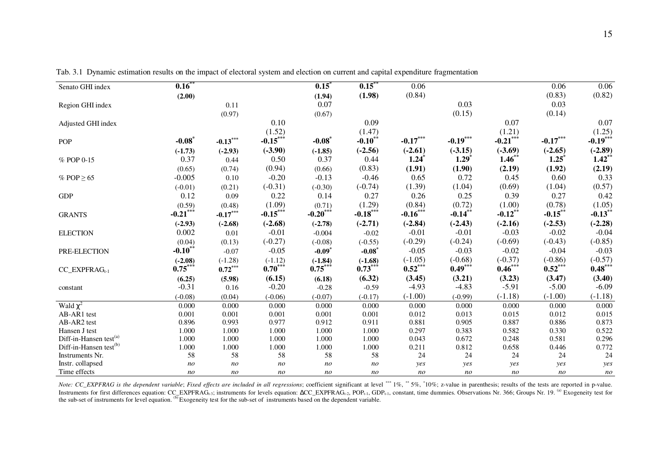| Senato GHI index                   | 0.16              |                |                | $0.15^*$             | $0.15$ **            | 0.06           |                     |                | 0.06       | 0.06           |
|------------------------------------|-------------------|----------------|----------------|----------------------|----------------------|----------------|---------------------|----------------|------------|----------------|
|                                    | (2.00)            |                |                | (1.94)               | (1.98)               | (0.84)         |                     |                | (0.83)     | (0.82)         |
| Region GHI index                   |                   | 0.11           |                | 0.07                 |                      |                | 0.03                |                | 0.03       |                |
|                                    |                   | (0.97)         |                | (0.67)               |                      |                | (0.15)              |                | (0.14)     |                |
| Adjusted GHI index                 |                   |                | 0.10           |                      | 0.09                 |                |                     | 0.07           |            | 0.07           |
|                                    |                   |                | (1.52)         |                      | (1.47)               |                |                     | (1.21)         |            | (1.25)         |
| <b>POP</b>                         | $-0.08$           | $-0.13***$     | $-0.15***$     | $-0.08$ <sup>*</sup> | $-0.10$ **           | $-0.17***$     | $-0.19***$          | $-0.21***$     | $-0.17***$ | $-0.19***$     |
|                                    | $(-1.73)$         | $(-2.93)$      | $(-3.90)$      | $(-1.85)$            | $(-2.56)$            | $(-2.61)$      | $(-3.15)$           | $(-3.69)$      | $(-2.65)$  | $(-2.89)$      |
| % POP 0-15                         | 0.37              | 0.44           | 0.50           | 0.37                 | 0.44                 | 1.24           | $1.29$ <sup>*</sup> | 1.46           | $1.25^*$   | $1.42**$       |
|                                    | (0.65)            | (0.74)         | (0.94)         | (0.66)               | (0.83)               | (1.91)         | (1.90)              | (2.19)         | (1.92)     | (2.19)         |
| % POP $\geq 65$                    | $-0.005$          | 0.10           | $-0.20$        | $-0.13$              | $-0.46$              | 0.65           | 0.72                | 0.45           | 0.60       | 0.33           |
|                                    | $(-0.01)$         | (0.21)         | $(-0.31)$      | $(-0.30)$            | $(-0.74)$            | (1.39)         | (1.04)              | (0.69)         | (1.04)     | (0.57)         |
| <b>GDP</b>                         | 0.12              | 0.09           | 0.22           | 0.14                 | 0.27                 | 0.26           | 0.25                | 0.39           | 0.27       | 0.42           |
|                                    | (0.59)            | (0.48)         | (1.09)         | (0.71)               | (1.29)               | (0.84)         | (0.72)              | (1.00)         | (0.78)     | (1.05)         |
| <b>GRANTS</b>                      | $-0.21***$        | $-0.17***$     | $-0.15***$     | $-0.20***$           | $-0.18***$           | $-0.16***$     | $-0.14***$          | $-0.12$ **     | $-0.15***$ | $-0.13***$     |
|                                    | $(-2.93)$         | $(-2.68)$      | $(-2.68)$      | $(-2.78)$            | $(-2.71)$            | $(-2.84)$      | $(-2.43)$           | $(-2.16)$      | $(-2.53)$  | $(-2.28)$      |
| <b>ELECTION</b>                    | 0.002             | 0.01           | $-0.01$        | $-0.004$             | $-0.02$              | $-0.01$        | $-0.01$             | $-0.03$        | $-0.02$    | $-0.04$        |
|                                    | (0.04)            | (0.13)         | $(-0.27)$      | $(-0.08)$            | $(-0.55)$            | $(-0.29)$      | $(-0.24)$           | $(-0.69)$      | $(-0.43)$  | $(-0.85)$      |
| PRE-ELECTION                       | $-0.10^{\degree}$ | $-0.07$        | $-0.05$        | $-0.09$ <sup>*</sup> | $-0.08$              | $-0.05$        | $-0.03$             | $-0.02$        | $-0.04$    | $-0.03$        |
|                                    | $(-2.08)$         | $(-1.28)$      | $(-1.12)$      | $(-1.84)$            |                      | $(-1.05)$      | $(-0.68)$           | $(-0.37)$      | $(-0.86)$  | $(-0.57)$      |
| $CC$ _EXPFRA $G$ <sub>t-1</sub>    | $0.75***$         | $0.72***$      | $0.70***$      | $0.75***$            | $(-1.68)$<br>0.73*** | $0.52***$      | $0.49***$           | $0.46***$      | $0.52***$  | $0.48***$      |
|                                    | (6.25)            | (5.98)         | (6.15)         | (6.18)               | (6.32)               | (3.45)         | (3.21)              | (3.23)         | (3.47)     | (3.40)         |
| constant                           | $-0.31$           | 0.16           | $-0.20$        | $-0.28$              | $-0.59$              | $-4.93$        | $-4.83$             | $-5.91$        | $-5.00$    | $-6.09$        |
|                                    | $(-0.08)$         | (0.04)         | $(-0.06)$      | $(-0.07)$            | $(-0.17)$            | $(-1.00)$      | $(-0.99)$           | $(-1.18)$      | $(-1.00)$  | $(-1.18)$      |
| Wald $\chi^2$                      | 0.000             | 0.000          | 0.000          | 0.000                | 0.000                | 0.000          | 0.000               | 0.000          | 0.000      | 0.000          |
| AB-AR1 test                        | 0.001             | 0.001          | 0.001          | 0.001                | 0.001                | 0.012          | 0.013               | 0.015          | 0.012      | 0.015          |
| AB-AR2 test                        | 0.896             | 0.993          | 0.977          | 0.912                | 0.911                | 0.881          | 0.905               | 0.887          | 0.886      | 0.873          |
| Hansen J test                      | 1.000             | 1.000          | 1.000          | 1.000                | 1.000                | 0.297          | 0.383               | 0.582          | 0.330      | 0.522          |
| Diff-in-Hansen test <sup>(a)</sup> | 1.000             | 1.000          | 1.000          | 1.000                | 1.000                | 0.043          | 0.672               | 0.248          | 0.581      | 0.296          |
| Diff-in-Hansen test <sup>(b)</sup> | 1.000             | 1.000          | 1.000          | 1.000                | 1.000                | 0.211          | 0.812               | 0.658          | 0.446      | 0.772          |
| Instruments Nr.                    | 58                | 58             | 58             | 58                   | 58                   | 24             | 24                  | 24             | 24         | 24             |
| Instr. collapsed                   | n <sub>O</sub>    | n <sub>O</sub> | no             | n <sub>O</sub>       | n <sub>o</sub>       | yes            | yes                 | yes            | yes        | yes            |
| Time effects                       | n <sub>O</sub>    | n <sub>O</sub> | n <sub>O</sub> | n <sub>O</sub>       | n <sub>O</sub>       | n <sub>O</sub> | no                  | n <sub>O</sub> | no         | n <sub>O</sub> |

Tab. 3.1 Dynamic estimation results on the impact of electoral system and election on current and capital expenditure fragmentation

Note: CC\_EXPFRAG is the dependent variable; Fixed effects are included in all regressions; coefficient significant at level \*\*\* 1%, \*\* 5%, \*10%; z-value in parenthesis; results of the tests are reported in p-value. Instruments for first differences equation: CC\_EXPFRAG<sub>t-3</sub>; instruments for levels equation: ∆CC\_EXPFRAG<sub>t-2</sub>, POP<sub>t-1</sub>, GDP<sub>t-1</sub>, constant, time dummies. Observations Nr. 366; Groups Nr. 19. <sup>(a)</sup> Exogeneity test for the sub-set of instruments for level equation.  $^{(b)}$ Exogeneity test for the sub-set of instruments based on the dependent variable.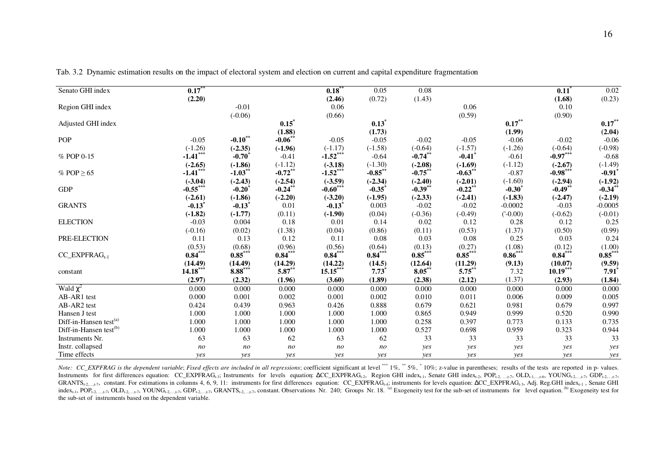| Senato GHI index                   | $0.17$ **      |                       |                | 0.18                 | 0.05           | 0.08       |            |              | $0.11$ <sup>*</sup> | 0.02                 |
|------------------------------------|----------------|-----------------------|----------------|----------------------|----------------|------------|------------|--------------|---------------------|----------------------|
|                                    | (2.20)         |                       |                | (2.46)               | (0.72)         | (1.43)     |            |              | (1.68)              | (0.23)               |
| Region GHI index                   |                | $-0.01$               |                | 0.06                 |                |            | 0.06       |              | $0.10\,$            |                      |
|                                    |                | $(-0.06)$             |                | (0.66)               |                |            | (0.59)     |              | (0.90)              |                      |
| Adjusted GHI index                 |                |                       | $0.15^*$       |                      | $0.13*$        |            |            | $0.17***$    |                     | $0.17***$            |
|                                    |                |                       | (1.88)         |                      | (1.73)         |            |            | (1.99)       |                     | (2.04)               |
| <b>POP</b>                         | $-0.05$        | $-0.10**$             | $-0.06$ **     | $-0.05$              | $-0.05$        | $-0.02$    | $-0.05$    | $-0.06$      | $-0.02$             | $-0.06$              |
|                                    | $(-1.26)$      | $(-2.35)$             | $(-1.96)$      | $(-1.17)$            | $(-1.58)$      | $(-0.64)$  | $(-1.57)$  | $(-1.26)$    | $(-0.64)$           | $(-0.98)$            |
| % POP 0-15                         | $-1.41***$     | $-0.70^*$             | $-0.41$        | $-1.52***$           | $-0.64$        | $-0.74$ ** | $-0.41$    | $-0.61$      | $-0.97***$          | $-0.68$              |
|                                    | $(-2.65)$      | $(-1.86)$             | $(-1.12)$      | $(-3.18)$            | $(-1.30)$      | $(-2.08)$  | $(-1.69)$  | $(-1.12)$    | $(-2.67)$           | $(-1.49)$            |
| % POP $\geq 65$                    | $-1.41***$     | $-1.03$ <sup>**</sup> | $-0.72$ **     | $-1.52***$           | $-0.85$ **     | $-0.75$ ** | $-0.63$ ** | $-0.87$      | $-0.98***$          | $-0.91$ <sup>*</sup> |
|                                    | $(-3.04)$      | $(-2.43)$             | $(-2.54)$      | $(-3.59)$            | $(-2.34)$      | $(-2.40)$  | $(-2.01)$  | $(-1.60)$    | $(-2.94)$           | $(-1.92)$            |
| <b>GDP</b>                         | $-0.55***$     | $-0.20$               | $-0.24$ **     | $-0.60***$           | $-0.35$        | $-0.39$ ** | $-0.22$ ** | $-0.30^*$    | $-0.49**$           | $-0.34$ **           |
|                                    | $(-2.61)$      | $(-1.86)$             | $(-2.20)$      | $(-3.20)$            | $(-1.95)$      | $(-2.33)$  | $(-2.41)$  | $(-1.83)$    | $(-2.47)$           | $(-2.19)$            |
| <b>GRANTS</b>                      | $-0.13$        | $-0.13$ <sup>*</sup>  | 0.01           | $-0.13$ <sup>*</sup> | 0.003          | $-0.02$    | $-0.02$    | $-0.0002$    | $-0.03$             | $-0.0005$            |
|                                    | $(-1.82)$      | $(-1.77)$             | (0.11)         | $(-1.90)$            | (0.04)         | $(-0.36)$  | $(-0.49)$  | $(1 - 0.00)$ | $(-0.62)$           | $(-0.01)$            |
| <b>ELECTION</b>                    | $-0.03$        | 0.004                 | 0.18           | 0.01                 | 0.14           | 0.02       | 0.12       | 0.28         | 0.12                | 0.25                 |
|                                    | $(-0.16)$      | (0.02)                | (1.38)         | (0.04)               | (0.86)         | (0.11)     | (0.53)     | (1.37)       | (0.50)              | (0.99)               |
| PRE-ELECTION                       | 0.11           | 0.13                  | 0.12           | 0.11                 | 0.08           | 0.03       | 0.08       | 0.25         | 0.03                | 0.24                 |
|                                    | (0.53)         | (0.68)                | (0.96)         | $(0.56)$<br>0.84***  | (0.64)         | (0.13)     | (0.27)     | (1.08)       | $(0.12)$<br>0.84*** | $(1.00)$<br>0.85***  |
| $CC$ _EXPFRA $G_{t-1}$             | $0.84***$      | $0.85***$             | $0.84***$      |                      | $0.84***$      | $0.85***$  | $0.85***$  | $0.86***$    |                     |                      |
|                                    | (14.49)        | (14.49)               | (14.29)        | (14.22)              | (14.5)         | (12.64)    | (11.29)    | (9.13)       | (10.07)             | (9.59)               |
| constant                           | $14.18***$     | $8.88***$             | $5.87***$      | $15.15***$           | $7.73^{\circ}$ | $8.05***$  | $5.75***$  | 7.32         | $10.19***$          | $7.91$ <sup>*</sup>  |
|                                    | (2.97)         | (2.32)                | (1.96)         | (3.60)               | (1.89)         | (2.38)     | (2.12)     | (1.37)       | (2.93)              | (1.84)               |
| Wald $\chi^2$                      | 0.000          | 0.000                 | 0.000          | 0.000                | 0.000          | 0.000      | 0.000      | 0.000        | 0.000               | 0.000                |
| AB-AR1 test                        | 0.000          | 0.001                 | 0.002          | 0.001                | 0.002          | 0.010      | 0.011      | 0.006        | 0.009               | 0.005                |
| AB-AR2 test                        | 0.424          | 0.439                 | 0.963          | 0.426                | 0.888          | 0.679      | 0.621      | 0.981        | 0.679               | 0.997                |
| Hansen J test                      | 1.000          | 1.000                 | 1.000          | 1.000                | 1.000          | 0.865      | 0.949      | 0.999        | 0.520               | 0.990                |
| Diff-in-Hansen test <sup>(a)</sup> | 1.000          | 1.000                 | 1.000          | 1.000                | 1.000          | 0.258      | 0.397      | 0.773        | 0.133               | 0.735                |
| Diff-in-Hansen test <sup>(b)</sup> | 1.000          | 1.000                 | 1.000          | 1.000                | 1.000          | 0.527      | 0.698      | 0.959        | 0.323               | 0.944                |
| Instruments Nr.                    | 63             | 63                    | 62             | 63                   | 62             | 33         | 33         | 33           | 33                  | 33                   |
| Instr. collapsed                   | n <sub>O</sub> | n <sub>O</sub>        | n <sub>O</sub> | n <sub>O</sub>       | n <sub>o</sub> | yes        | yes        | yes          | yes                 | yes                  |
| Time effects                       | ves            | ves                   | ves            | yes                  | ves            | ves        | ves        | ves          | yes                 | yes                  |

Tab. 3.2 Dynamic estimation results on the impact of electoral system and election on current and capital expenditure fragmentation

Note: CC\_EXPFRAG is the dependent variable; Fixed effects are included in all regressions; coefficient significant at level \*\*\* 1%, \*\* 5%, \*10%; z-value in parentheses; results of the tests are reported in p-values. Instruments for first differences equation: CC\_EXPFRAG<sub>t-3</sub>; Instruments for levels equation:  $ΔCC_EXPFRAG_{t-2}$ , Region GHI index<sub>t-1</sub>, Senate GHI index<sub>t-2</sub>, POP<sub>t-2, …,t-7</sub>, OLD<sub>t-1,…,t-6</sub>, YOUNG<sub>t-2,.…t-7</sub>, GDP<sub>t-2,…,t-7</sub> GRANTS<sub>t-2,…,t-7</sub>, constant. For estimations in columns 4, 6, 9, 11: instruments for first differences equation: CC\_EXPFRAG<sub>t-4</sub>; instruments for levels equation:  $\Delta$ CC\_EXPFRAG<sub>t-3</sub>, Adj. Reg.GHI index<sub>t-1</sub>, Senate GHI index<sub>t-1</sub>, POP<sub>t-2</sub>, 17, OLD<sub>t-2,, 1</sub>,7, YOUNG<sub>t-2</sub>, 17, GDP<sub>t-2</sub>, 17, GRANTS<sub>t-2</sub>, 17, constant. Observations Nr. 240; Groups Nr. 18.<sup>(a)</sup> Exogeneity test for the sub-set of instruments for level equation.<sup>(b)</sup> Exogenei the sub-set of instruments based on the dependent variable.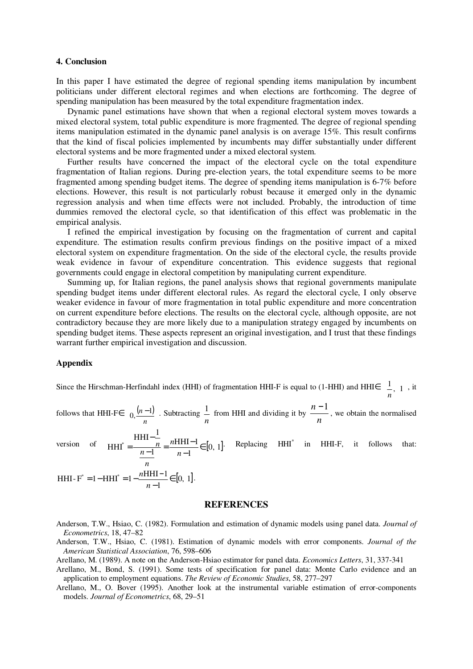#### **4. Conclusion**

In this paper I have estimated the degree of regional spending items manipulation by incumbent politicians under different electoral regimes and when elections are forthcoming. The degree of spending manipulation has been measured by the total expenditure fragmentation index.

Dynamic panel estimations have shown that when a regional electoral system moves towards a mixed electoral system, total public expenditure is more fragmented. The degree of regional spending items manipulation estimated in the dynamic panel analysis is on average 15%. This result confirms that the kind of fiscal policies implemented by incumbents may differ substantially under different electoral systems and be more fragmented under a mixed electoral system.

Further results have concerned the impact of the electoral cycle on the total expenditure fragmentation of Italian regions. During pre-election years, the total expenditure seems to be more fragmented among spending budget items. The degree of spending items manipulation is 6-7% before elections. However, this result is not particularly robust because it emerged only in the dynamic regression analysis and when time effects were not included. Probably, the introduction of time dummies removed the electoral cycle, so that identification of this effect was problematic in the empirical analysis.

I refined the empirical investigation by focusing on the fragmentation of current and capital expenditure. The estimation results confirm previous findings on the positive impact of a mixed electoral system on expenditure fragmentation. On the side of the electoral cycle, the results provide weak evidence in favour of expenditure concentration. This evidence suggests that regional governments could engage in electoral competition by manipulating current expenditure.

Summing up, for Italian regions, the panel analysis shows that regional governments manipulate spending budget items under different electoral rules. As regard the electoral cycle, I only observe weaker evidence in favour of more fragmentation in total public expenditure and more concentration on current expenditure before elections. The results on the electoral cycle, although opposite, are not contradictory because they are more likely due to a manipulation strategy engaged by incumbents on spending budget items. These aspects represent an original investigation, and I trust that these findings warrant further empirical investigation and discussion.

#### **Appendix**

Since the Hirschman-Herfindahl index (HHI) of fragmentation HHI-F is equal to (1-HHI) and HHI $\epsilon \begin{bmatrix} 1 \\ n \\ n \end{bmatrix}$ , 1  $\lfloor n' \rfloor$  $\overline{\phantom{a}}$ I  $\left[\begin{matrix}1\\1\\1\end{matrix}\right]$ , it

follows that HHI-F $\in \left[0, \frac{(n-1)}{n}\right]$  $\overline{\phantom{a}}$ L  $\int_{\Omega}$   $(n$ *n*  $\left[0, \frac{(n-1)}{n}\right]$ . Subtracting  $\frac{1}{n}$  $\frac{1}{n}$  from HHI and dividing it by  $\frac{n-n}{n}$  $\frac{n-1}{n}$ , we obtain the normalised

version of  $HHI^* = \frac{n}{n-1} = \frac{nHHII - 1}{n-1} \in [0, 1]$ HHI-1 1  $_{\rm HHI-}^{-1}$  $H H I^* = \frac{n}{n-1} = \frac{n}{n-1} \in \frac{1}{n-1}$  $\frac{n-1}{-1} = \frac{nHH}{n-1}$ − = *n n n*  $n = nH H^{-1}$   $\in$  [0 1]. Replacing HHI<sup>\*</sup> in HHI-F, it follows that:

*n*  $\frac{1-1}{1} \in [0, 1]$ HHI-F<sup>\*</sup> = 1 – HHI<sup>\*</sup> = 1 –  $\frac{nHHI-1}{1}$   $\in$ −  $= 1 - HHI^* = 1 - \frac{nHHI$ *n*  $\frac{nHHI-1}{n} \in [0, 1].$ 

#### **REFERENCES**

- Anderson, T.W., Hsiao, C. (1982). Formulation and estimation of dynamic models using panel data. *Journal of Econometrics*, 18, 47–82
- Anderson, T.W., Hsiao, C. (1981). Estimation of dynamic models with error components. *Journal of the American Statistical Association*, 76, 598–606
- Arellano, M. (1989). A note on the Anderson-Hsiao estimator for panel data. *Economics Letters*, 31, 337-341
- Arellano, M., Bond, S. (1991). Some tests of specification for panel data: Monte Carlo evidence and an application to employment equations. *The Review of Economic Studies*, 58, 277–297
- Arellano, M., O. Bover (1995). Another look at the instrumental variable estimation of error-components models. *Journal of Econometrics*, 68, 29–51